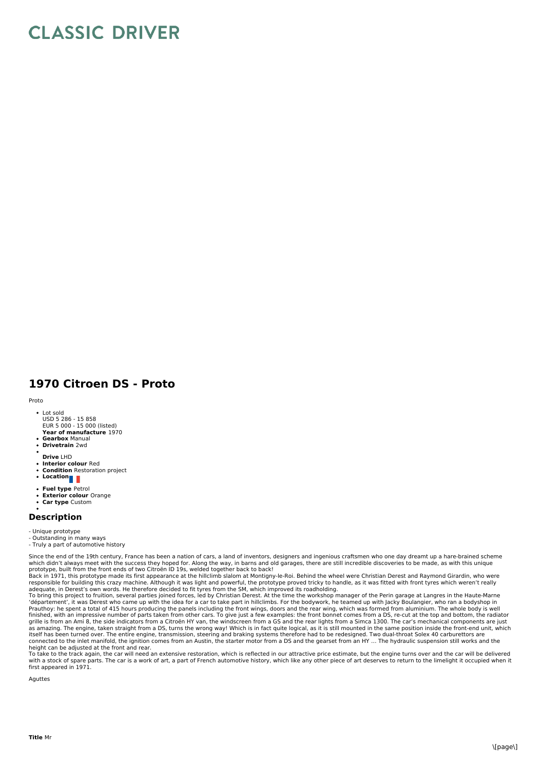## **CLASSIC DRIVER**

## **1970 Citroen DS - Proto**

Proto

- Lot sold USD 5 286 15 858
- **Year of manufacture** 1970 EUR 5 000 - 15 000 (listed)
- **Gearbox** Manual
- **Drivetrain** 2wd
- **Drive** LHD
- $\overline{a}$
- **Interior colour** Red **Condition** Restoration project
- Location<sub>1</sub>
- 
- **Fuel type** Petrol
- **Exterior colour** Orange **Car type** Custom  $\bullet$
- 

## **Description**

- Unique prototype
- Outstanding in many ways
- Truly a part of automotive history

Since the end of the 19th century, France has been a nation of cars, a land of inventors, designers and ingenious craftsmen who one day dreamt up a hare-brained scheme

which didn't always meet with the success they hoped for. Along the way, in barns and old garages, there are still incredible discoveries to be made, as with this unique<br>Brototype, built from the front ends of two Citroën

To bring this project to fruition, several parties joined forces, led by Christian Derest. At the time the workshop manager of the Perin garage at Langres in the Haute-Marne<br>'département', it was Derest who came up with th Prauthoy: he spent a total of 415 hours producing the panels including the front wings, doors and the rear wing, which was formed from aluminium. The whole body is well<br>finished, with an impressive number of parts taken fr grille is from an Ami 8, the side indicators from a Citroën HY van, the windscreen from a G S and the rear lights from a Simca 1300. The car's mechanical components are just<br>as amazing. The engine, taken straight from a DS itself has been turned over. The entire engine, transmission, steering and braking systems therefore had to be redesigned. Two dual-throat Solex 40 carburettors are<br>connected to the inlet manifold, the ignition comes from

height can be adjusted at the front and rear.<br>To take to the track again, the car will need an extensive restoration, which is reflected in our attractive price estimate, but the engine turns over and the car will be deliv with a stock of spare parts. The car is a work of art, a part of French automotive history, which like any other piece of art deserves to return to the limelight it occupied when it first appeared in 1971.

Aguttes